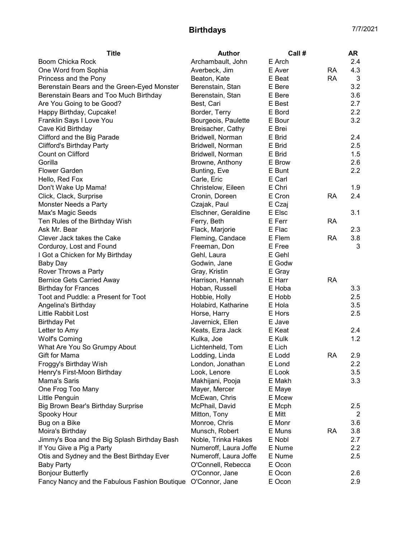## Birthdays 7/7/2021

| Archambault, John<br>E Arch<br>2.4<br>E Aver<br><b>RA</b><br>4.3<br>Averbeck, Jim<br>Beaton, Kate<br>E Beat<br><b>RA</b><br>3<br>3.2<br>E Bere<br>Berenstain, Stan<br>E Bere<br>3.6<br>Berenstain, Stan<br>Best, Cari<br>E Best<br>2.7<br>2.2<br>Border, Terry<br>E Bord<br>3.2<br>Bourgeois, Paulette<br>E Bour<br>Breisacher, Cathy<br>E Brei<br>Bridwell, Norman<br>E Brid<br>2.4<br>E Brid<br>2.5<br>Bridwell, Norman<br>Bridwell, Norman<br>E Brid<br>1.5<br>Browne, Anthony<br>E Brow<br>2.6<br>2.2<br>Bunting, Eve<br>E Bunt<br>E Carl<br>Hello, Red Fox<br>Carle, Eric<br>E Chri<br>1.9<br>Don't Wake Up Mama!<br>Christelow, Eileen<br>2.4<br>E Cron<br><b>RA</b><br>Click, Clack, Surprise<br>Cronin, Doreen<br>Monster Needs a Party<br>E Czaj<br>Czajak, Paul<br>Elschner, Geraldine<br>E Elsc<br>3.1<br>Max's Magic Seeds<br>E Ferr<br><b>RA</b><br>Ten Rules of the Birthday Wish<br>Ferry, Beth<br>E Flac<br>2.3<br>Flack, Marjorie<br>Clever Jack takes the Cake<br>E Flem<br>3.8<br>Fleming, Candace<br>RA<br>Corduroy, Lost and Found<br>E Free<br>3<br>Freeman, Don<br>E Gehl<br>I Got a Chicken for My Birthday<br>Gehl, Laura<br>E Godw<br><b>Baby Day</b><br>Godwin, Jane<br>Rover Throws a Party<br>Gray, Kristin<br>E Gray<br><b>RA</b><br><b>Bernice Gets Carried Away</b><br>Harrison, Hannah<br>E Harr<br>3.3<br><b>Birthday for Frances</b><br>Hoban, Russell<br>E Hoba<br>2.5<br>Toot and Puddle: a Present for Toot<br>Hobbie, Holly<br>E Hobb<br>3.5<br>Angelina's Birthday<br>Holabird, Katharine<br>E Hola<br>Little Rabbit Lost<br>E Hors<br>2.5<br>Horse, Harry<br>Javernick, Ellen<br><b>Birthday Pet</b><br>E Jave<br>E Keat<br>2.4<br>Letter to Amy<br>Keats, Ezra Jack<br>1.2<br><b>Wolf's Coming</b><br>Kulka, Joe<br>E Kulk<br>Lichtenheld, Tom<br>E Lich<br>What Are You So Grumpy About<br>Lodding, Linda<br><b>RA</b><br>Gift for Mama<br>E Lodd<br>2.9<br>London, Jonathan<br>2.2<br>Froggy's Birthday Wish<br>E Lond<br>Look, Lenore<br>E Look<br>3.5<br>Henry's First-Moon Birthday<br>E Makh<br>3.3<br>Mama's Saris<br>Makhijani, Pooja<br>One Frog Too Many<br>Mayer, Mercer<br>E Maye<br>Little Penguin<br>McEwan, Chris<br>E Mcew<br>Big Brown Bear's Birthday Surprise<br>McPhail, David<br>E Mcph<br>2.5 | <b>Title</b>                                 | <b>Author</b> | Call#  | AR |
|---------------------------------------------------------------------------------------------------------------------------------------------------------------------------------------------------------------------------------------------------------------------------------------------------------------------------------------------------------------------------------------------------------------------------------------------------------------------------------------------------------------------------------------------------------------------------------------------------------------------------------------------------------------------------------------------------------------------------------------------------------------------------------------------------------------------------------------------------------------------------------------------------------------------------------------------------------------------------------------------------------------------------------------------------------------------------------------------------------------------------------------------------------------------------------------------------------------------------------------------------------------------------------------------------------------------------------------------------------------------------------------------------------------------------------------------------------------------------------------------------------------------------------------------------------------------------------------------------------------------------------------------------------------------------------------------------------------------------------------------------------------------------------------------------------------------------------------------------------------------------------------------------------------------------------------------------------------------------------------------------------------------------------------------------------------------------------------------------------------------------------------------------------------------------------------------------------------------------------------------------------------|----------------------------------------------|---------------|--------|----|
|                                                                                                                                                                                                                                                                                                                                                                                                                                                                                                                                                                                                                                                                                                                                                                                                                                                                                                                                                                                                                                                                                                                                                                                                                                                                                                                                                                                                                                                                                                                                                                                                                                                                                                                                                                                                                                                                                                                                                                                                                                                                                                                                                                                                                                                               | Boom Chicka Rock                             |               |        |    |
|                                                                                                                                                                                                                                                                                                                                                                                                                                                                                                                                                                                                                                                                                                                                                                                                                                                                                                                                                                                                                                                                                                                                                                                                                                                                                                                                                                                                                                                                                                                                                                                                                                                                                                                                                                                                                                                                                                                                                                                                                                                                                                                                                                                                                                                               | One Word from Sophia                         |               |        |    |
|                                                                                                                                                                                                                                                                                                                                                                                                                                                                                                                                                                                                                                                                                                                                                                                                                                                                                                                                                                                                                                                                                                                                                                                                                                                                                                                                                                                                                                                                                                                                                                                                                                                                                                                                                                                                                                                                                                                                                                                                                                                                                                                                                                                                                                                               | Princess and the Pony                        |               |        |    |
|                                                                                                                                                                                                                                                                                                                                                                                                                                                                                                                                                                                                                                                                                                                                                                                                                                                                                                                                                                                                                                                                                                                                                                                                                                                                                                                                                                                                                                                                                                                                                                                                                                                                                                                                                                                                                                                                                                                                                                                                                                                                                                                                                                                                                                                               | Berenstain Bears and the Green-Eyed Monster  |               |        |    |
|                                                                                                                                                                                                                                                                                                                                                                                                                                                                                                                                                                                                                                                                                                                                                                                                                                                                                                                                                                                                                                                                                                                                                                                                                                                                                                                                                                                                                                                                                                                                                                                                                                                                                                                                                                                                                                                                                                                                                                                                                                                                                                                                                                                                                                                               | Berenstain Bears and Too Much Birthday       |               |        |    |
|                                                                                                                                                                                                                                                                                                                                                                                                                                                                                                                                                                                                                                                                                                                                                                                                                                                                                                                                                                                                                                                                                                                                                                                                                                                                                                                                                                                                                                                                                                                                                                                                                                                                                                                                                                                                                                                                                                                                                                                                                                                                                                                                                                                                                                                               | Are You Going to be Good?                    |               |        |    |
|                                                                                                                                                                                                                                                                                                                                                                                                                                                                                                                                                                                                                                                                                                                                                                                                                                                                                                                                                                                                                                                                                                                                                                                                                                                                                                                                                                                                                                                                                                                                                                                                                                                                                                                                                                                                                                                                                                                                                                                                                                                                                                                                                                                                                                                               | Happy Birthday, Cupcake!                     |               |        |    |
|                                                                                                                                                                                                                                                                                                                                                                                                                                                                                                                                                                                                                                                                                                                                                                                                                                                                                                                                                                                                                                                                                                                                                                                                                                                                                                                                                                                                                                                                                                                                                                                                                                                                                                                                                                                                                                                                                                                                                                                                                                                                                                                                                                                                                                                               | Franklin Says I Love You                     |               |        |    |
|                                                                                                                                                                                                                                                                                                                                                                                                                                                                                                                                                                                                                                                                                                                                                                                                                                                                                                                                                                                                                                                                                                                                                                                                                                                                                                                                                                                                                                                                                                                                                                                                                                                                                                                                                                                                                                                                                                                                                                                                                                                                                                                                                                                                                                                               | Cave Kid Birthday                            |               |        |    |
|                                                                                                                                                                                                                                                                                                                                                                                                                                                                                                                                                                                                                                                                                                                                                                                                                                                                                                                                                                                                                                                                                                                                                                                                                                                                                                                                                                                                                                                                                                                                                                                                                                                                                                                                                                                                                                                                                                                                                                                                                                                                                                                                                                                                                                                               | Clifford and the Big Parade                  |               |        |    |
|                                                                                                                                                                                                                                                                                                                                                                                                                                                                                                                                                                                                                                                                                                                                                                                                                                                                                                                                                                                                                                                                                                                                                                                                                                                                                                                                                                                                                                                                                                                                                                                                                                                                                                                                                                                                                                                                                                                                                                                                                                                                                                                                                                                                                                                               | <b>Clifford's Birthday Party</b>             |               |        |    |
|                                                                                                                                                                                                                                                                                                                                                                                                                                                                                                                                                                                                                                                                                                                                                                                                                                                                                                                                                                                                                                                                                                                                                                                                                                                                                                                                                                                                                                                                                                                                                                                                                                                                                                                                                                                                                                                                                                                                                                                                                                                                                                                                                                                                                                                               | Count on Clifford                            |               |        |    |
|                                                                                                                                                                                                                                                                                                                                                                                                                                                                                                                                                                                                                                                                                                                                                                                                                                                                                                                                                                                                                                                                                                                                                                                                                                                                                                                                                                                                                                                                                                                                                                                                                                                                                                                                                                                                                                                                                                                                                                                                                                                                                                                                                                                                                                                               | Gorilla                                      |               |        |    |
|                                                                                                                                                                                                                                                                                                                                                                                                                                                                                                                                                                                                                                                                                                                                                                                                                                                                                                                                                                                                                                                                                                                                                                                                                                                                                                                                                                                                                                                                                                                                                                                                                                                                                                                                                                                                                                                                                                                                                                                                                                                                                                                                                                                                                                                               | <b>Flower Garden</b>                         |               |        |    |
|                                                                                                                                                                                                                                                                                                                                                                                                                                                                                                                                                                                                                                                                                                                                                                                                                                                                                                                                                                                                                                                                                                                                                                                                                                                                                                                                                                                                                                                                                                                                                                                                                                                                                                                                                                                                                                                                                                                                                                                                                                                                                                                                                                                                                                                               |                                              |               |        |    |
|                                                                                                                                                                                                                                                                                                                                                                                                                                                                                                                                                                                                                                                                                                                                                                                                                                                                                                                                                                                                                                                                                                                                                                                                                                                                                                                                                                                                                                                                                                                                                                                                                                                                                                                                                                                                                                                                                                                                                                                                                                                                                                                                                                                                                                                               |                                              |               |        |    |
|                                                                                                                                                                                                                                                                                                                                                                                                                                                                                                                                                                                                                                                                                                                                                                                                                                                                                                                                                                                                                                                                                                                                                                                                                                                                                                                                                                                                                                                                                                                                                                                                                                                                                                                                                                                                                                                                                                                                                                                                                                                                                                                                                                                                                                                               |                                              |               |        |    |
|                                                                                                                                                                                                                                                                                                                                                                                                                                                                                                                                                                                                                                                                                                                                                                                                                                                                                                                                                                                                                                                                                                                                                                                                                                                                                                                                                                                                                                                                                                                                                                                                                                                                                                                                                                                                                                                                                                                                                                                                                                                                                                                                                                                                                                                               |                                              |               |        |    |
|                                                                                                                                                                                                                                                                                                                                                                                                                                                                                                                                                                                                                                                                                                                                                                                                                                                                                                                                                                                                                                                                                                                                                                                                                                                                                                                                                                                                                                                                                                                                                                                                                                                                                                                                                                                                                                                                                                                                                                                                                                                                                                                                                                                                                                                               |                                              |               |        |    |
|                                                                                                                                                                                                                                                                                                                                                                                                                                                                                                                                                                                                                                                                                                                                                                                                                                                                                                                                                                                                                                                                                                                                                                                                                                                                                                                                                                                                                                                                                                                                                                                                                                                                                                                                                                                                                                                                                                                                                                                                                                                                                                                                                                                                                                                               |                                              |               |        |    |
|                                                                                                                                                                                                                                                                                                                                                                                                                                                                                                                                                                                                                                                                                                                                                                                                                                                                                                                                                                                                                                                                                                                                                                                                                                                                                                                                                                                                                                                                                                                                                                                                                                                                                                                                                                                                                                                                                                                                                                                                                                                                                                                                                                                                                                                               | Ask Mr. Bear                                 |               |        |    |
|                                                                                                                                                                                                                                                                                                                                                                                                                                                                                                                                                                                                                                                                                                                                                                                                                                                                                                                                                                                                                                                                                                                                                                                                                                                                                                                                                                                                                                                                                                                                                                                                                                                                                                                                                                                                                                                                                                                                                                                                                                                                                                                                                                                                                                                               |                                              |               |        |    |
|                                                                                                                                                                                                                                                                                                                                                                                                                                                                                                                                                                                                                                                                                                                                                                                                                                                                                                                                                                                                                                                                                                                                                                                                                                                                                                                                                                                                                                                                                                                                                                                                                                                                                                                                                                                                                                                                                                                                                                                                                                                                                                                                                                                                                                                               |                                              |               |        |    |
|                                                                                                                                                                                                                                                                                                                                                                                                                                                                                                                                                                                                                                                                                                                                                                                                                                                                                                                                                                                                                                                                                                                                                                                                                                                                                                                                                                                                                                                                                                                                                                                                                                                                                                                                                                                                                                                                                                                                                                                                                                                                                                                                                                                                                                                               |                                              |               |        |    |
|                                                                                                                                                                                                                                                                                                                                                                                                                                                                                                                                                                                                                                                                                                                                                                                                                                                                                                                                                                                                                                                                                                                                                                                                                                                                                                                                                                                                                                                                                                                                                                                                                                                                                                                                                                                                                                                                                                                                                                                                                                                                                                                                                                                                                                                               |                                              |               |        |    |
|                                                                                                                                                                                                                                                                                                                                                                                                                                                                                                                                                                                                                                                                                                                                                                                                                                                                                                                                                                                                                                                                                                                                                                                                                                                                                                                                                                                                                                                                                                                                                                                                                                                                                                                                                                                                                                                                                                                                                                                                                                                                                                                                                                                                                                                               |                                              |               |        |    |
|                                                                                                                                                                                                                                                                                                                                                                                                                                                                                                                                                                                                                                                                                                                                                                                                                                                                                                                                                                                                                                                                                                                                                                                                                                                                                                                                                                                                                                                                                                                                                                                                                                                                                                                                                                                                                                                                                                                                                                                                                                                                                                                                                                                                                                                               |                                              |               |        |    |
|                                                                                                                                                                                                                                                                                                                                                                                                                                                                                                                                                                                                                                                                                                                                                                                                                                                                                                                                                                                                                                                                                                                                                                                                                                                                                                                                                                                                                                                                                                                                                                                                                                                                                                                                                                                                                                                                                                                                                                                                                                                                                                                                                                                                                                                               |                                              |               |        |    |
|                                                                                                                                                                                                                                                                                                                                                                                                                                                                                                                                                                                                                                                                                                                                                                                                                                                                                                                                                                                                                                                                                                                                                                                                                                                                                                                                                                                                                                                                                                                                                                                                                                                                                                                                                                                                                                                                                                                                                                                                                                                                                                                                                                                                                                                               |                                              |               |        |    |
|                                                                                                                                                                                                                                                                                                                                                                                                                                                                                                                                                                                                                                                                                                                                                                                                                                                                                                                                                                                                                                                                                                                                                                                                                                                                                                                                                                                                                                                                                                                                                                                                                                                                                                                                                                                                                                                                                                                                                                                                                                                                                                                                                                                                                                                               |                                              |               |        |    |
|                                                                                                                                                                                                                                                                                                                                                                                                                                                                                                                                                                                                                                                                                                                                                                                                                                                                                                                                                                                                                                                                                                                                                                                                                                                                                                                                                                                                                                                                                                                                                                                                                                                                                                                                                                                                                                                                                                                                                                                                                                                                                                                                                                                                                                                               |                                              |               |        |    |
|                                                                                                                                                                                                                                                                                                                                                                                                                                                                                                                                                                                                                                                                                                                                                                                                                                                                                                                                                                                                                                                                                                                                                                                                                                                                                                                                                                                                                                                                                                                                                                                                                                                                                                                                                                                                                                                                                                                                                                                                                                                                                                                                                                                                                                                               |                                              |               |        |    |
|                                                                                                                                                                                                                                                                                                                                                                                                                                                                                                                                                                                                                                                                                                                                                                                                                                                                                                                                                                                                                                                                                                                                                                                                                                                                                                                                                                                                                                                                                                                                                                                                                                                                                                                                                                                                                                                                                                                                                                                                                                                                                                                                                                                                                                                               |                                              |               |        |    |
|                                                                                                                                                                                                                                                                                                                                                                                                                                                                                                                                                                                                                                                                                                                                                                                                                                                                                                                                                                                                                                                                                                                                                                                                                                                                                                                                                                                                                                                                                                                                                                                                                                                                                                                                                                                                                                                                                                                                                                                                                                                                                                                                                                                                                                                               |                                              |               |        |    |
|                                                                                                                                                                                                                                                                                                                                                                                                                                                                                                                                                                                                                                                                                                                                                                                                                                                                                                                                                                                                                                                                                                                                                                                                                                                                                                                                                                                                                                                                                                                                                                                                                                                                                                                                                                                                                                                                                                                                                                                                                                                                                                                                                                                                                                                               |                                              |               |        |    |
|                                                                                                                                                                                                                                                                                                                                                                                                                                                                                                                                                                                                                                                                                                                                                                                                                                                                                                                                                                                                                                                                                                                                                                                                                                                                                                                                                                                                                                                                                                                                                                                                                                                                                                                                                                                                                                                                                                                                                                                                                                                                                                                                                                                                                                                               |                                              |               |        |    |
|                                                                                                                                                                                                                                                                                                                                                                                                                                                                                                                                                                                                                                                                                                                                                                                                                                                                                                                                                                                                                                                                                                                                                                                                                                                                                                                                                                                                                                                                                                                                                                                                                                                                                                                                                                                                                                                                                                                                                                                                                                                                                                                                                                                                                                                               |                                              |               |        |    |
|                                                                                                                                                                                                                                                                                                                                                                                                                                                                                                                                                                                                                                                                                                                                                                                                                                                                                                                                                                                                                                                                                                                                                                                                                                                                                                                                                                                                                                                                                                                                                                                                                                                                                                                                                                                                                                                                                                                                                                                                                                                                                                                                                                                                                                                               |                                              |               |        |    |
|                                                                                                                                                                                                                                                                                                                                                                                                                                                                                                                                                                                                                                                                                                                                                                                                                                                                                                                                                                                                                                                                                                                                                                                                                                                                                                                                                                                                                                                                                                                                                                                                                                                                                                                                                                                                                                                                                                                                                                                                                                                                                                                                                                                                                                                               |                                              |               |        |    |
|                                                                                                                                                                                                                                                                                                                                                                                                                                                                                                                                                                                                                                                                                                                                                                                                                                                                                                                                                                                                                                                                                                                                                                                                                                                                                                                                                                                                                                                                                                                                                                                                                                                                                                                                                                                                                                                                                                                                                                                                                                                                                                                                                                                                                                                               |                                              |               |        |    |
|                                                                                                                                                                                                                                                                                                                                                                                                                                                                                                                                                                                                                                                                                                                                                                                                                                                                                                                                                                                                                                                                                                                                                                                                                                                                                                                                                                                                                                                                                                                                                                                                                                                                                                                                                                                                                                                                                                                                                                                                                                                                                                                                                                                                                                                               |                                              |               |        |    |
|                                                                                                                                                                                                                                                                                                                                                                                                                                                                                                                                                                                                                                                                                                                                                                                                                                                                                                                                                                                                                                                                                                                                                                                                                                                                                                                                                                                                                                                                                                                                                                                                                                                                                                                                                                                                                                                                                                                                                                                                                                                                                                                                                                                                                                                               |                                              |               |        |    |
|                                                                                                                                                                                                                                                                                                                                                                                                                                                                                                                                                                                                                                                                                                                                                                                                                                                                                                                                                                                                                                                                                                                                                                                                                                                                                                                                                                                                                                                                                                                                                                                                                                                                                                                                                                                                                                                                                                                                                                                                                                                                                                                                                                                                                                                               | Spooky Hour                                  | Mitton, Tony  | E Mitt | 2  |
| 3.6<br>Monroe, Chris<br>E Monr                                                                                                                                                                                                                                                                                                                                                                                                                                                                                                                                                                                                                                                                                                                                                                                                                                                                                                                                                                                                                                                                                                                                                                                                                                                                                                                                                                                                                                                                                                                                                                                                                                                                                                                                                                                                                                                                                                                                                                                                                                                                                                                                                                                                                                | Bug on a Bike                                |               |        |    |
| <b>RA</b><br>3.8<br>Munsch, Robert<br>E Muns                                                                                                                                                                                                                                                                                                                                                                                                                                                                                                                                                                                                                                                                                                                                                                                                                                                                                                                                                                                                                                                                                                                                                                                                                                                                                                                                                                                                                                                                                                                                                                                                                                                                                                                                                                                                                                                                                                                                                                                                                                                                                                                                                                                                                  | Moira's Birthday                             |               |        |    |
| 2.7<br>Noble, Trinka Hakes<br>E Nobl                                                                                                                                                                                                                                                                                                                                                                                                                                                                                                                                                                                                                                                                                                                                                                                                                                                                                                                                                                                                                                                                                                                                                                                                                                                                                                                                                                                                                                                                                                                                                                                                                                                                                                                                                                                                                                                                                                                                                                                                                                                                                                                                                                                                                          | Jimmy's Boa and the Big Splash Birthday Bash |               |        |    |
| Numeroff, Laura Joffe<br>2.2<br>E Nume                                                                                                                                                                                                                                                                                                                                                                                                                                                                                                                                                                                                                                                                                                                                                                                                                                                                                                                                                                                                                                                                                                                                                                                                                                                                                                                                                                                                                                                                                                                                                                                                                                                                                                                                                                                                                                                                                                                                                                                                                                                                                                                                                                                                                        | If You Give a Pig a Party                    |               |        |    |
| Numeroff, Laura Joffe<br>E Nume<br>2.5                                                                                                                                                                                                                                                                                                                                                                                                                                                                                                                                                                                                                                                                                                                                                                                                                                                                                                                                                                                                                                                                                                                                                                                                                                                                                                                                                                                                                                                                                                                                                                                                                                                                                                                                                                                                                                                                                                                                                                                                                                                                                                                                                                                                                        | Otis and Sydney and the Best Birthday Ever   |               |        |    |
| O'Connell, Rebecca<br>E Ocon                                                                                                                                                                                                                                                                                                                                                                                                                                                                                                                                                                                                                                                                                                                                                                                                                                                                                                                                                                                                                                                                                                                                                                                                                                                                                                                                                                                                                                                                                                                                                                                                                                                                                                                                                                                                                                                                                                                                                                                                                                                                                                                                                                                                                                  | <b>Baby Party</b>                            |               |        |    |
| O'Connor, Jane<br>E Ocon<br>2.6                                                                                                                                                                                                                                                                                                                                                                                                                                                                                                                                                                                                                                                                                                                                                                                                                                                                                                                                                                                                                                                                                                                                                                                                                                                                                                                                                                                                                                                                                                                                                                                                                                                                                                                                                                                                                                                                                                                                                                                                                                                                                                                                                                                                                               | <b>Bonjour Butterfly</b>                     |               |        |    |
| Fancy Nancy and the Fabulous Fashion Boutique O'Connor, Jane<br>E Ocon<br>2.9                                                                                                                                                                                                                                                                                                                                                                                                                                                                                                                                                                                                                                                                                                                                                                                                                                                                                                                                                                                                                                                                                                                                                                                                                                                                                                                                                                                                                                                                                                                                                                                                                                                                                                                                                                                                                                                                                                                                                                                                                                                                                                                                                                                 |                                              |               |        |    |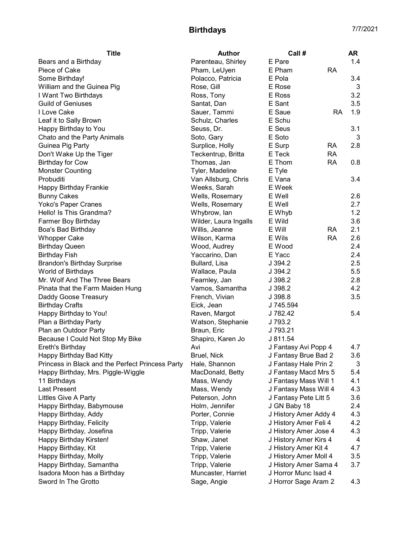## Birthdays 7/7/2021

| <b>Title</b><br>Author<br>Call #                                                           | AR                           |     |
|--------------------------------------------------------------------------------------------|------------------------------|-----|
| Parenteau, Shirley<br>E Pare<br>Bears and a Birthday                                       |                              | 1.4 |
| Piece of Cake<br>Pham, LeUyen<br>E Pham<br>RA                                              |                              |     |
| Some Birthday!<br>Polacco, Patricia<br>E Pola                                              |                              | 3.4 |
| William and the Guinea Pig<br>Rose, Gill<br>E Rose                                         |                              | 3   |
| Ross, Tony<br>E Ross<br>I Want Two Birthdays                                               |                              | 3.2 |
| <b>Guild of Geniuses</b><br>Santat, Dan<br>E Sant                                          |                              | 3.5 |
| I Love Cake<br>E Saue<br>Sauer, Tammi                                                      | RA                           | 1.9 |
| Leaf it to Sally Brown<br>Schulz, Charles<br>E Schu                                        |                              |     |
| Happy Birthday to You<br>E Seus<br>Seuss, Dr.                                              |                              | 3.1 |
| Chato and the Party Animals<br>Soto, Gary<br>E Soto                                        |                              | 3   |
| Guinea Pig Party<br>Surplice, Holly<br>E Surp<br><b>RA</b>                                 |                              | 2.8 |
| Don't Wake Up the Tiger<br>Teckentrup, Britta<br>E Teck<br><b>RA</b>                       |                              |     |
| <b>Birthday for Cow</b><br>Thomas, Jan<br>E Thom<br><b>RA</b>                              |                              | 0.8 |
| <b>Monster Counting</b><br>Tyler, Madeline<br>E Tyle                                       |                              |     |
| Van Allsburg, Chris<br>E Vana<br>Probuditi                                                 |                              | 3.4 |
| Weeks, Sarah<br>E Week<br>Happy Birthday Frankie                                           |                              |     |
| E Well<br><b>Bunny Cakes</b><br>Wells, Rosemary                                            |                              | 2.6 |
| Wells, Rosemary<br>E Well<br>Yoko's Paper Cranes                                           |                              | 2.7 |
| Hello! Is This Grandma?<br>Whybrow, lan<br>E Whyb                                          |                              | 1.2 |
| Farmer Boy Birthday<br>Wilder, Laura Ingalls<br>E Wild                                     |                              | 3.6 |
| Willis, Jeanne<br>E Will<br><b>RA</b><br>Boa's Bad Birthday                                |                              | 2.1 |
| Wilson, Karma<br>E Wils<br><b>RA</b><br><b>Whopper Cake</b>                                |                              | 2.6 |
| <b>Birthday Queen</b><br>Wood, Audrey<br>E Wood                                            |                              | 2.4 |
| <b>Birthday Fish</b><br>Yaccarino, Dan<br>E Yacc                                           |                              | 2.4 |
| <b>Brandon's Birthday Surprise</b><br>Bullard, Lisa<br>J 394.2                             |                              | 2.5 |
| World of Birthdays<br>Wallace, Paula<br>J 394.2                                            |                              | 5.5 |
| Mr. Wolf And The Three Bears<br>Fearnley, Jan<br>J 398.2                                   |                              | 2.8 |
| Vamos, Samantha<br>Pinata that the Farm Maiden Hung<br>J 398.2                             |                              | 4.2 |
| French, Vivian<br>Daddy Goose Treasury<br>J 398.8                                          |                              | 3.5 |
| Eick, Jean<br><b>Birthday Crafts</b><br>J 745.594                                          |                              |     |
| Happy Birthday to You!<br>Raven, Margot<br>J 782.42                                        |                              | 5.4 |
| Plan a Birthday Party<br>Watson, Stephanie<br>J 793.2                                      |                              |     |
| Plan an Outdoor Party<br>Braun, Eric<br>J 793.21                                           |                              |     |
| Because I Could Not Stop My Bike<br>J 811.54<br>Shapiro, Karen Jo                          |                              |     |
| Ereth's Birthday<br>Avi<br>J Fantasy Avi Popp 4                                            |                              | 4.7 |
| Happy Birthday Bad Kitty<br>Bruel, Nick<br>J Fantasy Brue Bad 2                            | 3.6                          |     |
| Princess in Black and the Perfect Princess Party<br>Hale, Shannon<br>J Fantasy Hale Prin 2 |                              | 3   |
| Happy Birthday, Mrs. Piggle-Wiggle<br>J Fantasy Macd Mrs 5<br>MacDonald, Betty             | 5.4                          |     |
| J Fantasy Mass Will 1<br>11 Birthdays<br>Mass, Wendy                                       | 4.1                          |     |
| <b>Last Present</b><br>Mass, Wendy                                                         | J Fantasy Mass Will 4<br>4.3 |     |
| Littles Give A Party<br>J Fantasy Pete Litt 5<br>Peterson, John                            |                              | 3.6 |
| Happy Birthday, Babymouse<br>Holm, Jennifer<br>J GN Baby 18                                |                              | 2.4 |
| Happy Birthday, Addy<br>Porter, Connie<br>J History Amer Addy 4                            |                              | 4.3 |
| Happy Birthday, Felicity<br>Tripp, Valerie<br>J History Amer Feli 4                        | 4.2                          |     |
| Happy Birthday, Josefina<br>Tripp, Valerie<br>J History Amer Jose 4                        |                              | 4.3 |
| Happy Birthday Kirsten!<br>Shaw, Janet<br>J History Amer Kirs 4                            |                              | 4   |
| J History Amer Kit 4<br>Happy Birthday, Kit<br>Tripp, Valerie                              |                              | 4.7 |
| Happy Birthday, Molly<br>J History Amer Moll 4<br>Tripp, Valerie                           |                              | 3.5 |
| Happy Birthday, Samantha<br>Tripp, Valerie<br>J History Amer Sama 4                        |                              | 3.7 |
| Isadora Moon has a Birthday<br>Muncaster, Harriet<br>J Horror Munc Isad 4                  |                              |     |
| Sword In The Grotto<br>Sage, Angie<br>J Horror Sage Aram 2                                 |                              | 4.3 |